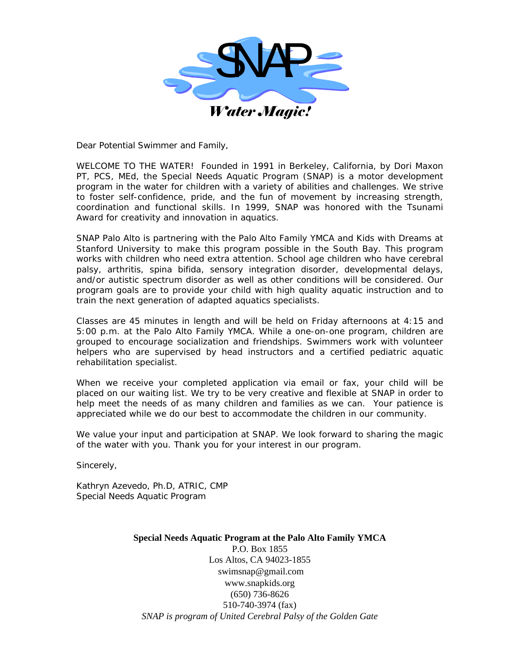

Dear Potential Swimmer and Family,

WELCOME TO THE WATER! Founded in 1991 in Berkeley, California, by *Dori Maxon PT, PCS, MEd*, the *Special Needs Aquatic Program (SNAP)* is a motor development program in the water for children with a variety of abilities and challenges. We strive to foster self-confidence, pride, and the fun of movement by increasing strength, coordination and functional skills. In 1999, SNAP was honored with the Tsunami Award for creativity and innovation in aquatics.

SNAP Palo Alto is partnering with the *Palo Alto Family YMCA* and *Kids with Dreams at Stanford University* to make this program possible in the South Bay. This program works with children who need extra attention. School age children who have cerebral palsy, arthritis, spina bifida, sensory integration disorder, developmental delays, and/or autistic spectrum disorder as well as other conditions will be considered. Our program goals are to provide your child with high quality aquatic instruction and to train the next generation of adapted aquatics specialists.

Classes are 45 minutes in length and will be held on Friday afternoons at 4:15 and 5:00 p.m. at the Palo Alto Family YMCA. While a one-on-one program, children are grouped to encourage socialization and friendships. Swimmers work with volunteer helpers who are supervised by head instructors and a certified pediatric aquatic rehabilitation specialist.

When we receive your completed application via email or fax, your child will be placed on our waiting list. We try to be very creative and flexible at SNAP in order to help meet the needs of as many children and families as we can. Your patience is appreciated while we do our best to accommodate the children in our community.

We value your input and participation at SNAP. We look forward to sharing the magic of the water with you. Thank you for your interest in our program.

Sincerely,

Kathryn Azevedo, Ph.D, ATRIC, CMP Special Needs Aquatic Program

> **Special Needs Aquatic Program at the Palo Alto Family YMCA**  P.O. Box 1855 Los Altos, CA 94023-1855 swimsnap@gmail.com www.snapkids.org (650) 736-8626 510-740-3974 (fax) *SNAP is program of United Cerebral Palsy of the Golden Gate*